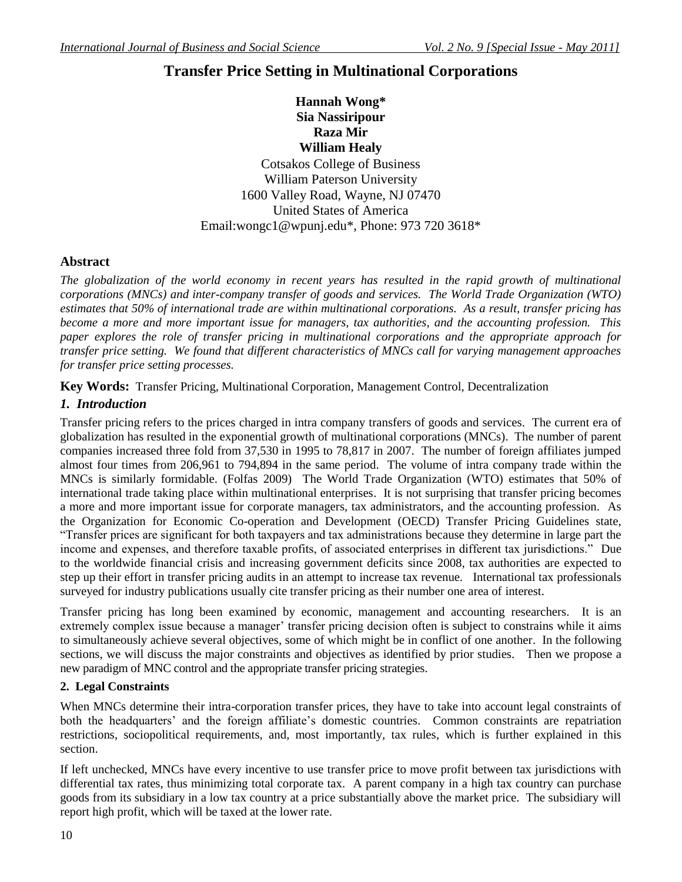# **Transfer Price Setting in Multinational Corporations**

**Hannah Wong\* Sia Nassiripour Raza Mir William Healy**

Cotsakos College of Business William Paterson University 1600 Valley Road, Wayne, NJ 07470 United States of America Email:wongc1@wpunj.edu\*, Phone: 973 720 3618\*

### **Abstract**

*The globalization of the world economy in recent years has resulted in the rapid growth of multinational corporations (MNCs) and inter-company transfer of goods and services. The World Trade Organization (WTO) estimates that 50% of international trade are within multinational corporations. As a result, transfer pricing has become a more and more important issue for managers, tax authorities, and the accounting profession. This paper explores the role of transfer pricing in multinational corporations and the appropriate approach for transfer price setting. We found that different characteristics of MNCs call for varying management approaches for transfer price setting processes.* 

**Key Words:** Transfer Pricing, Multinational Corporation, Management Control, Decentralization

### *1. Introduction*

Transfer pricing refers to the prices charged in intra company transfers of goods and services. The current era of globalization has resulted in the exponential growth of multinational corporations (MNCs). The number of parent companies increased three fold from 37,530 in 1995 to 78,817 in 2007. The number of foreign affiliates jumped almost four times from 206,961 to 794,894 in the same period. The volume of intra company trade within the MNCs is similarly formidable. (Folfas 2009) The World Trade Organization (WTO) estimates that 50% of international trade taking place within multinational enterprises. It is not surprising that transfer pricing becomes a more and more important issue for corporate managers, tax administrators, and the accounting profession. As the Organization for Economic Co-operation and Development (OECD) Transfer Pricing Guidelines state, "Transfer prices are significant for both taxpayers and tax administrations because they determine in large part the income and expenses, and therefore taxable profits, of associated enterprises in different tax jurisdictions." Due to the worldwide financial crisis and increasing government deficits since 2008, tax authorities are expected to step up their effort in transfer pricing audits in an attempt to increase tax revenue. International tax professionals surveyed for industry publications usually cite transfer pricing as their number one area of interest.

Transfer pricing has long been examined by economic, management and accounting researchers. It is an extremely complex issue because a manager' transfer pricing decision often is subject to constrains while it aims to simultaneously achieve several objectives, some of which might be in conflict of one another. In the following sections, we will discuss the major constraints and objectives as identified by prior studies. Then we propose a new paradigm of MNC control and the appropriate transfer pricing strategies.

### **2. Legal Constraints**

When MNCs determine their intra-corporation transfer prices, they have to take into account legal constraints of both the headquarters' and the foreign affiliate's domestic countries. Common constraints are repatriation restrictions, sociopolitical requirements, and, most importantly, tax rules, which is further explained in this section.

If left unchecked, MNCs have every incentive to use transfer price to move profit between tax jurisdictions with differential tax rates, thus minimizing total corporate tax. A parent company in a high tax country can purchase goods from its subsidiary in a low tax country at a price substantially above the market price. The subsidiary will report high profit, which will be taxed at the lower rate.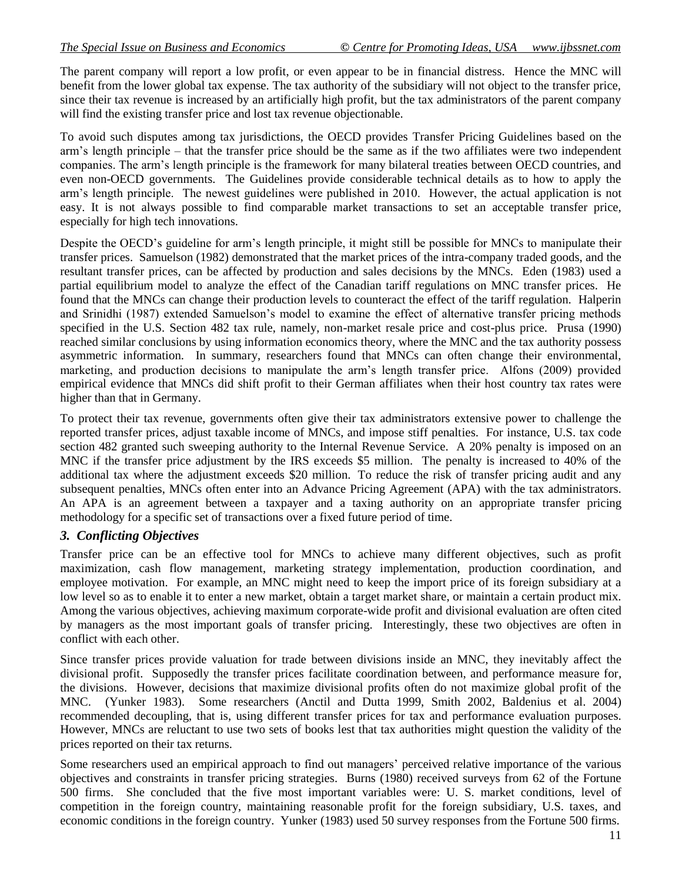The parent company will report a low profit, or even appear to be in financial distress. Hence the MNC will benefit from the lower global tax expense. The tax authority of the subsidiary will not object to the transfer price, since their tax revenue is increased by an artificially high profit, but the tax administrators of the parent company will find the existing transfer price and lost tax revenue objectionable.

To avoid such disputes among tax jurisdictions, the OECD provides Transfer Pricing Guidelines based on the arm's length principle – that the transfer price should be the same as if the two affiliates were two independent companies. The arm's length principle is the framework for many bilateral treaties between OECD countries, and even non-OECD governments. The Guidelines provide considerable technical details as to how to apply the arm's length principle. The newest guidelines were published in 2010. However, the actual application is not easy. It is not always possible to find comparable market transactions to set an acceptable transfer price, especially for high tech innovations.

Despite the OECD's guideline for arm's length principle, it might still be possible for MNCs to manipulate their transfer prices. Samuelson (1982) demonstrated that the market prices of the intra-company traded goods, and the resultant transfer prices, can be affected by production and sales decisions by the MNCs. Eden (1983) used a partial equilibrium model to analyze the effect of the Canadian tariff regulations on MNC transfer prices. He found that the MNCs can change their production levels to counteract the effect of the tariff regulation. Halperin and Srinidhi (1987) extended Samuelson's model to examine the effect of alternative transfer pricing methods specified in the U.S. Section 482 tax rule, namely, non-market resale price and cost-plus price. Prusa (1990) reached similar conclusions by using information economics theory, where the MNC and the tax authority possess asymmetric information. In summary, researchers found that MNCs can often change their environmental, marketing, and production decisions to manipulate the arm's length transfer price. Alfons (2009) provided empirical evidence that MNCs did shift profit to their German affiliates when their host country tax rates were higher than that in Germany.

To protect their tax revenue, governments often give their tax administrators extensive power to challenge the reported transfer prices, adjust taxable income of MNCs, and impose stiff penalties. For instance, U.S. tax code section 482 granted such sweeping authority to the Internal Revenue Service. A 20% penalty is imposed on an MNC if the transfer price adjustment by the IRS exceeds \$5 million. The penalty is increased to 40% of the additional tax where the adjustment exceeds \$20 million. To reduce the risk of transfer pricing audit and any subsequent penalties, MNCs often enter into an Advance Pricing Agreement (APA) with the tax administrators. An APA is an agreement between a taxpayer and a taxing authority on an appropriate [transfer pricing](http://en.wikipedia.org/wiki/Transfer_pricing) methodology for a specific set of transactions over a fixed future period of time.

### *3. Conflicting Objectives*

Transfer price can be an effective tool for MNCs to achieve many different objectives, such as profit maximization, cash flow management, marketing strategy implementation, production coordination, and employee motivation. For example, an MNC might need to keep the import price of its foreign subsidiary at a low level so as to enable it to enter a new market, obtain a target market share, or maintain a certain product mix. Among the various objectives, achieving maximum corporate-wide profit and divisional evaluation are often cited by managers as the most important goals of transfer pricing. Interestingly, these two objectives are often in conflict with each other.

Since transfer prices provide valuation for trade between divisions inside an MNC, they inevitably affect the divisional profit. Supposedly the transfer prices facilitate coordination between, and performance measure for, the divisions. However, decisions that maximize divisional profits often do not maximize global profit of the MNC. (Yunker 1983). Some researchers (Anctil and Dutta 1999, Smith 2002, Baldenius et al. 2004) recommended decoupling, that is, using different transfer prices for tax and performance evaluation purposes. However, MNCs are reluctant to use two sets of books lest that tax authorities might question the validity of the prices reported on their tax returns.

Some researchers used an empirical approach to find out managers' perceived relative importance of the various objectives and constraints in transfer pricing strategies. Burns (1980) received surveys from 62 of the Fortune 500 firms. She concluded that the five most important variables were: U. S. market conditions, level of competition in the foreign country, maintaining reasonable profit for the foreign subsidiary, U.S. taxes, and economic conditions in the foreign country. Yunker (1983) used 50 survey responses from the Fortune 500 firms.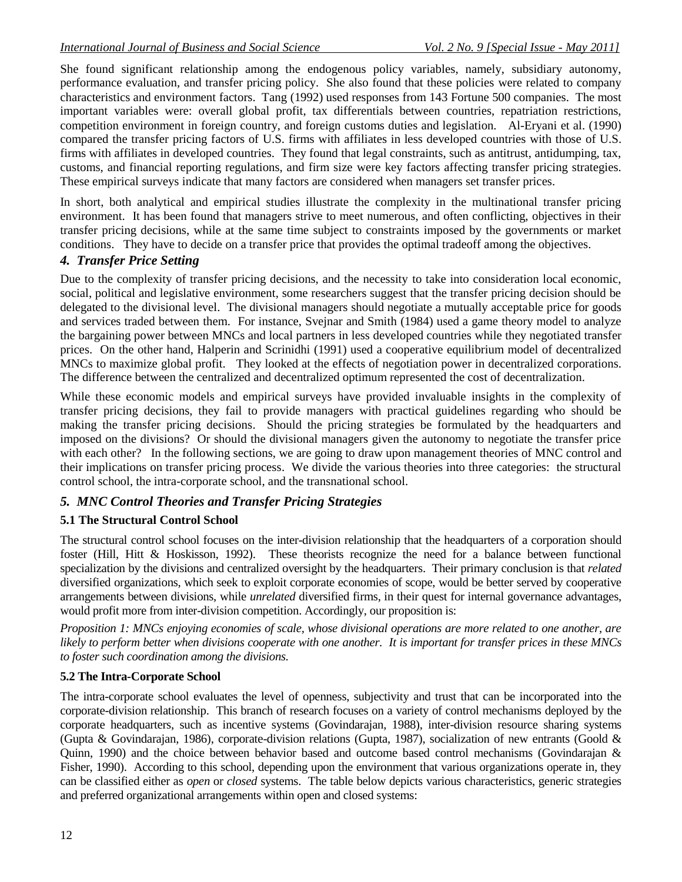She found significant relationship among the endogenous policy variables, namely, subsidiary autonomy, performance evaluation, and transfer pricing policy. She also found that these policies were related to company characteristics and environment factors. Tang (1992) used responses from 143 Fortune 500 companies. The most important variables were: overall global profit, tax differentials between countries, repatriation restrictions, competition environment in foreign country, and foreign customs duties and legislation. Al-Eryani et al. (1990) compared the transfer pricing factors of U.S. firms with affiliates in less developed countries with those of U.S. firms with affiliates in developed countries. They found that legal constraints, such as antitrust, antidumping, tax, customs, and financial reporting regulations, and firm size were key factors affecting transfer pricing strategies. These empirical surveys indicate that many factors are considered when managers set transfer prices.

In short, both analytical and empirical studies illustrate the complexity in the multinational transfer pricing environment. It has been found that managers strive to meet numerous, and often conflicting, objectives in their transfer pricing decisions, while at the same time subject to constraints imposed by the governments or market conditions. They have to decide on a transfer price that provides the optimal tradeoff among the objectives.

## *4. Transfer Price Setting*

Due to the complexity of transfer pricing decisions, and the necessity to take into consideration local economic, social, political and legislative environment, some researchers suggest that the transfer pricing decision should be delegated to the divisional level. The divisional managers should negotiate a mutually acceptable price for goods and services traded between them. For instance, Svejnar and Smith (1984) used a game theory model to analyze the bargaining power between MNCs and local partners in less developed countries while they negotiated transfer prices. On the other hand, Halperin and Scrinidhi (1991) used a cooperative equilibrium model of decentralized MNCs to maximize global profit. They looked at the effects of negotiation power in decentralized corporations. The difference between the centralized and decentralized optimum represented the cost of decentralization.

While these economic models and empirical surveys have provided invaluable insights in the complexity of transfer pricing decisions, they fail to provide managers with practical guidelines regarding who should be making the transfer pricing decisions. Should the pricing strategies be formulated by the headquarters and imposed on the divisions? Or should the divisional managers given the autonomy to negotiate the transfer price with each other? In the following sections, we are going to draw upon management theories of MNC control and their implications on transfer pricing process. We divide the various theories into three categories: the structural control school, the intra-corporate school, and the transnational school.

## *5. MNC Control Theories and Transfer Pricing Strategies*

## **5.1 The Structural Control School**

The structural control school focuses on the inter-division relationship that the headquarters of a corporation should foster (Hill, Hitt & Hoskisson, 1992). These theorists recognize the need for a balance between functional specialization by the divisions and centralized oversight by the headquarters. Their primary conclusion is that *related*  diversified organizations, which seek to exploit corporate economies of scope, would be better served by cooperative arrangements between divisions, while *unrelated* diversified firms, in their quest for internal governance advantages, would profit more from inter-division competition. Accordingly, our proposition is:

*Proposition 1: MNCs enjoying economies of scale, whose divisional operations are more related to one another, are likely to perform better when divisions cooperate with one another. It is important for transfer prices in these MNCs to foster such coordination among the divisions.*

### **5.2 The Intra-Corporate School**

The intra-corporate school evaluates the level of openness, subjectivity and trust that can be incorporated into the corporate-division relationship. This branch of research focuses on a variety of control mechanisms deployed by the corporate headquarters, such as incentive systems (Govindarajan, 1988), inter-division resource sharing systems (Gupta & Govindarajan, 1986), corporate-division relations (Gupta, 1987), socialization of new entrants (Goold & Quinn, 1990) and the choice between behavior based and outcome based control mechanisms (Govindarajan & Fisher, 1990). According to this school, depending upon the environment that various organizations operate in, they can be classified either as *open* or *closed* systems. The table below depicts various characteristics, generic strategies and preferred organizational arrangements within open and closed systems: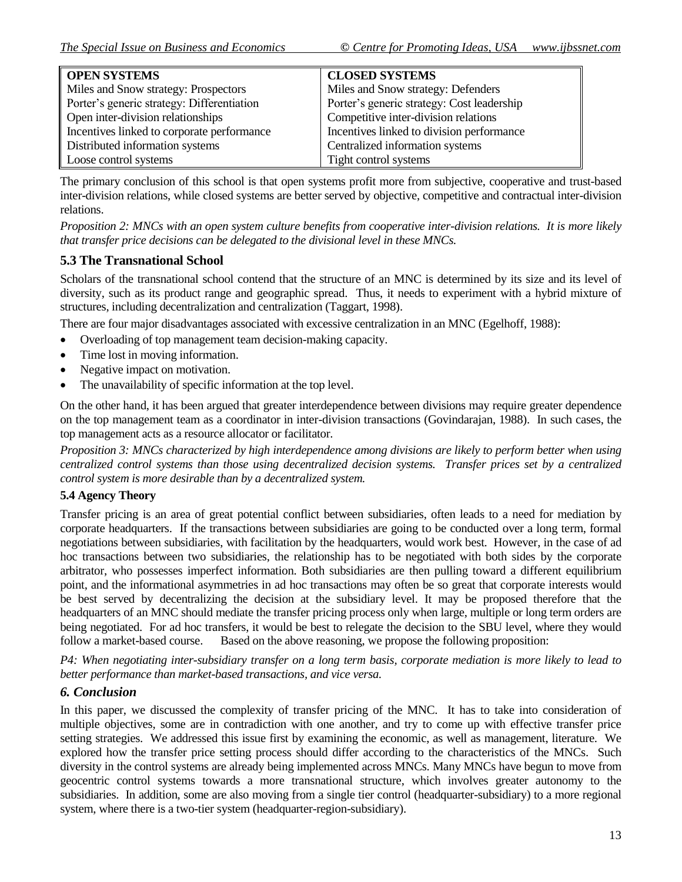| <b>OPEN SYSTEMS</b>                        | <b>CLOSED SYSTEMS</b>                      |
|--------------------------------------------|--------------------------------------------|
| Miles and Snow strategy: Prospectors       | Miles and Snow strategy: Defenders         |
| Porter's generic strategy: Differentiation | Porter's generic strategy: Cost leadership |
| Open inter-division relationships          | Competitive inter-division relations       |
| Incentives linked to corporate performance | Incentives linked to division performance  |
| Distributed information systems            | Centralized information systems            |
| Loose control systems                      | Tight control systems                      |

The primary conclusion of this school is that open systems profit more from subjective, cooperative and trust-based inter-division relations, while closed systems are better served by objective, competitive and contractual inter-division relations.

*Proposition 2: MNCs with an open system culture benefits from cooperative inter-division relations. It is more likely that transfer price decisions can be delegated to the divisional level in these MNCs.* 

### **5.3 The Transnational School**

Scholars of the transnational school contend that the structure of an MNC is determined by its size and its level of diversity, such as its product range and geographic spread. Thus, it needs to experiment with a hybrid mixture of structures, including decentralization and centralization (Taggart, 1998).

There are four major disadvantages associated with excessive centralization in an MNC (Egelhoff, 1988):

- Overloading of top management team decision-making capacity.
- Time lost in moving information.
- Negative impact on motivation.
- The unavailability of specific information at the top level.

On the other hand, it has been argued that greater interdependence between divisions may require greater dependence on the top management team as a coordinator in inter-division transactions (Govindarajan, 1988). In such cases, the top management acts as a resource allocator or facilitator.

*Proposition 3: MNCs characterized by high interdependence among divisions are likely to perform better when using centralized control systems than those using decentralized decision systems. Transfer prices set by a centralized control system is more desirable than by a decentralized system.* 

### **5.4 Agency Theory**

Transfer pricing is an area of great potential conflict between subsidiaries, often leads to a need for mediation by corporate headquarters. If the transactions between subsidiaries are going to be conducted over a long term, formal negotiations between subsidiaries, with facilitation by the headquarters, would work best. However, in the case of ad hoc transactions between two subsidiaries, the relationship has to be negotiated with both sides by the corporate arbitrator, who possesses imperfect information. Both subsidiaries are then pulling toward a different equilibrium point, and the informational asymmetries in ad hoc transactions may often be so great that corporate interests would be best served by decentralizing the decision at the subsidiary level. It may be proposed therefore that the headquarters of an MNC should mediate the transfer pricing process only when large, multiple or long term orders are being negotiated. For ad hoc transfers, it would be best to relegate the decision to the SBU level, where they would follow a market-based course. Based on the above reasoning, we propose the following proposition:

*P4: When negotiating inter-subsidiary transfer on a long term basis, corporate mediation is more likely to lead to better performance than market-based transactions, and vice versa.* 

### *6. Conclusion*

In this paper, we discussed the complexity of transfer pricing of the MNC. It has to take into consideration of multiple objectives, some are in contradiction with one another, and try to come up with effective transfer price setting strategies. We addressed this issue first by examining the economic, as well as management, literature. We explored how the transfer price setting process should differ according to the characteristics of the MNCs. Such diversity in the control systems are already being implemented across MNCs. Many MNCs have begun to move from geocentric control systems towards a more transnational structure, which involves greater autonomy to the subsidiaries. In addition, some are also moving from a single tier control (headquarter-subsidiary) to a more regional system, where there is a two-tier system (headquarter-region-subsidiary).